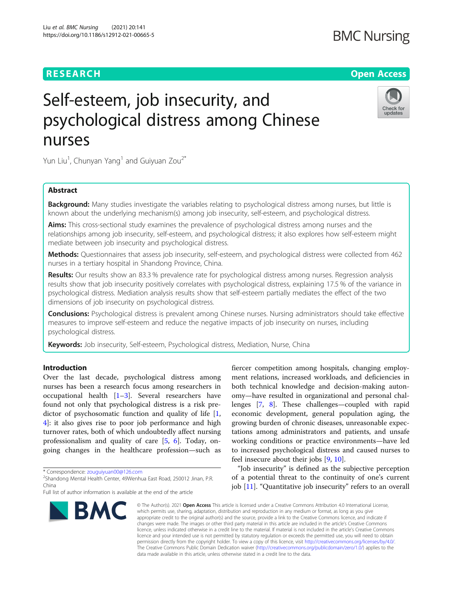### **RESEARCH CHE Open Access**

## **BMC Nursing**

# Self-esteem, job insecurity, and psychological distress among Chinese nurses



Yun Liu<sup>1</sup>, Chunyan Yang<sup>1</sup> and Guiyuan Zou<sup>2\*</sup>

### Abstract

Background: Many studies investigate the variables relating to psychological distress among nurses, but little is known about the underlying mechanism(s) among job insecurity, self-esteem, and psychological distress.

Aims: This cross-sectional study examines the prevalence of psychological distress among nurses and the relationships among job insecurity, self-esteem, and psychological distress; it also explores how self-esteem might mediate between job insecurity and psychological distress.

Methods: Questionnaires that assess job insecurity, self-esteem, and psychological distress were collected from 462 nurses in a tertiary hospital in Shandong Province, China.

Results: Our results show an 83.3 % prevalence rate for psychological distress among nurses. Regression analysis results show that job insecurity positively correlates with psychological distress, explaining 17.5 % of the variance in psychological distress. Mediation analysis results show that self-esteem partially mediates the effect of the two dimensions of job insecurity on psychological distress.

Conclusions: Psychological distress is prevalent among Chinese nurses. Nursing administrators should take effective measures to improve self-esteem and reduce the negative impacts of job insecurity on nurses, including psychological distress.

Keywords: Job insecurity, Self-esteem, Psychological distress, Mediation, Nurse, China

#### Introduction

Over the last decade, psychological distress among nurses has been a research focus among researchers in occupational health  $[1-3]$  $[1-3]$  $[1-3]$  $[1-3]$  $[1-3]$ . Several researchers have found not only that psychological distress is a risk predictor of psychosomatic function and quality of life [\[1](#page-5-0), [4\]](#page-6-0): it also gives rise to poor job performance and high turnover rates, both of which undoubtedly affect nursing professionalism and quality of care [\[5](#page-6-0), [6](#page-6-0)]. Today, ongoing changes in the healthcare profession—such as

\* Correspondence: [zouguiyuan00@126.com](mailto:zouguiyuan00@126.com) <sup>2</sup>

<sup>2</sup>Shandong Mental Health Center, 49Wenhua East Road, 250012 Jinan, P.R. China

Full list of author information is available at the end of the article



fiercer competition among hospitals, changing employment relations, increased workloads, and deficiencies in both technical knowledge and decision-making autonomy—have resulted in organizational and personal challenges [\[7,](#page-6-0) [8\]](#page-6-0). These challenges—coupled with rapid economic development, general population aging, the growing burden of chronic diseases, unreasonable expectations among administrators and patients, and unsafe working conditions or practice environments—have led to increased psychological distress and caused nurses to feel insecure about their jobs [\[9](#page-6-0), [10](#page-6-0)].

"Job insecurity" is defined as the subjective perception of a potential threat to the continuity of one's current job [[11](#page-6-0)]. "Quantitative job insecurity" refers to an overall

© The Author(s), 2021 **Open Access** This article is licensed under a Creative Commons Attribution 4.0 International License, which permits use, sharing, adaptation, distribution and reproduction in any medium or format, as long as you give appropriate credit to the original author(s) and the source, provide a link to the Creative Commons licence, and indicate if changes were made. The images or other third party material in this article are included in the article's Creative Commons licence, unless indicated otherwise in a credit line to the material. If material is not included in the article's Creative Commons licence and your intended use is not permitted by statutory regulation or exceeds the permitted use, you will need to obtain permission directly from the copyright holder. To view a copy of this licence, visit [http://creativecommons.org/licenses/by/4.0/.](http://creativecommons.org/licenses/by/4.0/) The Creative Commons Public Domain Dedication waiver [\(http://creativecommons.org/publicdomain/zero/1.0/](http://creativecommons.org/publicdomain/zero/1.0/)) applies to the data made available in this article, unless otherwise stated in a credit line to the data.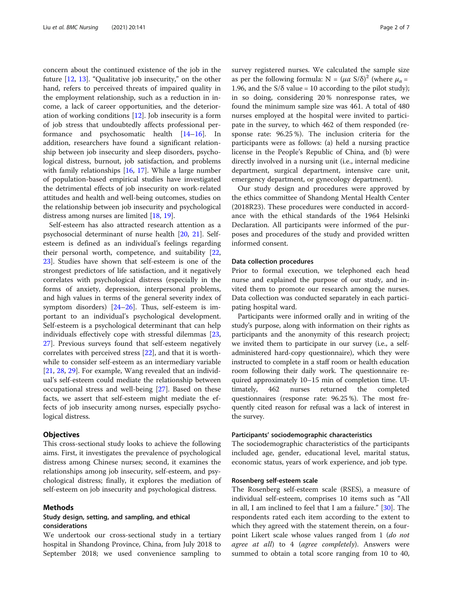concern about the continued existence of the job in the future [\[12,](#page-6-0) [13](#page-6-0)]. "Qualitative job insecurity," on the other hand, refers to perceived threats of impaired quality in the employment relationship, such as a reduction in income, a lack of career opportunities, and the deterioration of working conditions [[12](#page-6-0)]. Job insecurity is a form of job stress that undoubtedly affects professional performance and psychosomatic health [\[14](#page-6-0)–[16](#page-6-0)]. In addition, researchers have found a significant relationship between job insecurity and sleep disorders, psychological distress, burnout, job satisfaction, and problems with family relationships [\[16,](#page-6-0) [17](#page-6-0)]. While a large number of population-based empirical studies have investigated the detrimental effects of job insecurity on work-related attitudes and health and well-being outcomes, studies on the relationship between job insecurity and psychological distress among nurses are limited [\[18](#page-6-0), [19\]](#page-6-0).

Self-esteem has also attracted research attention as a psychosocial determinant of nurse health [[20,](#page-6-0) [21\]](#page-6-0). Selfesteem is defined as an individual's feelings regarding their personal worth, competence, and suitability [[22](#page-6-0), [23\]](#page-6-0). Studies have shown that self-esteem is one of the strongest predictors of life satisfaction, and it negatively correlates with psychological distress (especially in the forms of anxiety, depression, interpersonal problems, and high values in terms of the general severity index of symptom disorders) [\[24](#page-6-0)–[26\]](#page-6-0). Thus, self-esteem is important to an individual's psychological development. Self-esteem is a psychological determinant that can help individuals effectively cope with stressful dilemmas [[23](#page-6-0), [27\]](#page-6-0). Previous surveys found that self-esteem negatively correlates with perceived stress [\[22](#page-6-0)], and that it is worthwhile to consider self-esteem as an intermediary variable [[21,](#page-6-0) [28,](#page-6-0) [29](#page-6-0)]. For example, Wang revealed that an individual's self-esteem could mediate the relationship between occupational stress and well-being [[27\]](#page-6-0). Based on these facts, we assert that self-esteem might mediate the effects of job insecurity among nurses, especially psychological distress.

#### **Objectives**

This cross-sectional study looks to achieve the following aims. First, it investigates the prevalence of psychological distress among Chinese nurses; second, it examines the relationships among job insecurity, self-esteem, and psychological distress; finally, it explores the mediation of self-esteem on job insecurity and psychological distress.

#### Methods

#### Study design, setting, and sampling, and ethical considerations

We undertook our cross-sectional study in a tertiary hospital in Shandong Province, China, from July 2018 to September 2018; we used convenience sampling to survey registered nurses. We calculated the sample size as per the following formula:  $N = (\mu \alpha S/\delta)^2$  (where  $\mu_{\alpha} =$ 1.96, and the  $S/\delta$  value = 10 according to the pilot study); in so doing, considering 20 % nonresponse rates, we found the minimum sample size was 461. A total of 480 nurses employed at the hospital were invited to participate in the survey, to which 462 of them responded (response rate: 96.25 %). The inclusion criteria for the participants were as follows: (a) held a nursing practice license in the People's Republic of China, and (b) were directly involved in a nursing unit (i.e., internal medicine department, surgical department, intensive care unit, emergency department, or gynecology department).

Our study design and procedures were approved by the ethics committee of Shandong Mental Health Center (2018R23). These procedures were conducted in accordance with the ethical standards of the 1964 Helsinki Declaration. All participants were informed of the purposes and procedures of the study and provided written informed consent.

#### Data collection procedures

Prior to formal execution, we telephoned each head nurse and explained the purpose of our study, and invited them to promote our research among the nurses. Data collection was conducted separately in each participating hospital ward.

Participants were informed orally and in writing of the study's purpose, along with information on their rights as participants and the anonymity of this research project; we invited them to participate in our survey (i.e., a selfadministered hard-copy questionnaire), which they were instructed to complete in a staff room or health education room following their daily work. The questionnaire required approximately 10–15 min of completion time. Ultimately, 462 nurses returned the completed questionnaires (response rate: 96.25 %). The most frequently cited reason for refusal was a lack of interest in the survey.

#### Participants' sociodemographic characteristics

The sociodemographic characteristics of the participants included age, gender, educational level, marital status, economic status, years of work experience, and job type.

#### Rosenberg self-esteem scale

The Rosenberg self-esteem scale (RSES), a measure of individual self-esteem, comprises 10 items such as "All in all, I am inclined to feel that I am a failure." [\[30\]](#page-6-0). The respondents rated each item according to the extent to which they agreed with the statement therein, on a fourpoint Likert scale whose values ranged from 1 (do not agree at all) to 4 (agree completely). Answers were summed to obtain a total score ranging from 10 to 40,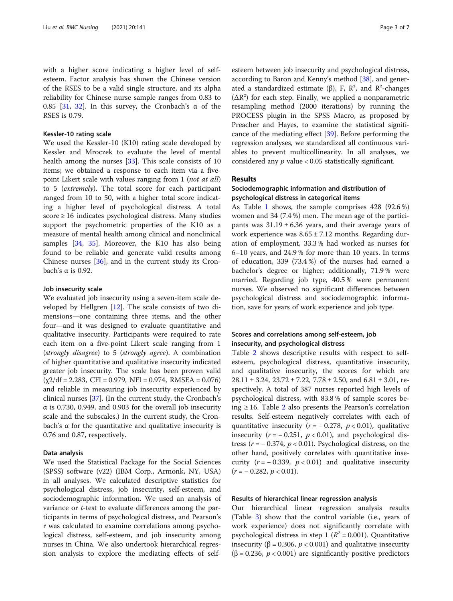with a higher score indicating a higher level of selfesteem. Factor analysis has shown the Chinese version of the RSES to be a valid single structure, and its alpha reliability for Chinese nurse sample ranges from 0.83 to 0.85 [[31,](#page-6-0) [32\]](#page-6-0). In this survey, the Cronbach's α of the RSES is 0.79.

#### Kessler-10 rating scale

We used the Kessler-10 (K10) rating scale developed by Kessler and Mroczek to evaluate the level of mental health among the nurses [[33\]](#page-6-0). This scale consists of 10 items; we obtained a response to each item via a fivepoint Likert scale with values ranging from 1 (*not at all*) to 5 (extremely). The total score for each participant ranged from 10 to 50, with a higher total score indicating a higher level of psychological distress. A total score ≥ 16 indicates psychological distress. Many studies support the psychometric properties of the K10 as a measure of mental health among clinical and nonclinical samples [\[34](#page-6-0), [35](#page-6-0)]. Moreover, the K10 has also being found to be reliable and generate valid results among Chinese nurses [\[36](#page-6-0)], and in the current study its Cronbach's α is 0.92.

#### Job insecurity scale

We evaluated job insecurity using a seven-item scale developed by Hellgren [\[12](#page-6-0)]. The scale consists of two dimensions—one containing three items, and the other four—and it was designed to evaluate quantitative and qualitative insecurity. Participants were required to rate each item on a five-point Likert scale ranging from 1 (strongly disagree) to 5 (strongly agree). A combination of higher quantitative and qualitative insecurity indicated greater job insecurity. The scale has been proven valid  $(\chi^2/df = 2.283, \text{ CFI} = 0.979, \text{ NFI} = 0.974, \text{ RMSEA} = 0.076)$ and reliable in measuring job insecurity experienced by clinical nurses [[37\]](#page-6-0). (In the current study, the Cronbach's α is 0.730, 0.949, and 0.903 for the overall job insecurity scale and the subscales.) In the current study, the Cronbach's α for the quantitative and qualitative insecurity is 0.76 and 0.87, respectively.

#### Data analysis

We used the Statistical Package for the Social Sciences (SPSS) software (v22) (IBM Corp., Armonk, NY, USA) in all analyses. We calculated descriptive statistics for psychological distress, job insecurity, self-esteem, and sociodemographic information. We used an analysis of variance or *t*-test to evaluate differences among the participants in terms of psychological distress, and Pearson's r was calculated to examine correlations among psychological distress, self-esteem, and job insecurity among nurses in China. We also undertook hierarchical regression analysis to explore the mediating effects of selfesteem between job insecurity and psychological distress, according to Baron and Kenny's method [\[38](#page-6-0)], and generated a standardized estimate (β), F,  $\mathbb{R}^2$ , and  $\mathbb{R}^2$ -changes  $(\Delta R^2)$  for each step. Finally, we applied a nonparametric resampling method (2000 iterations) by running the PROCESS plugin in the SPSS Macro, as proposed by Preacher and Hayes, to examine the statistical significance of the mediating effect [\[39](#page-6-0)]. Before performing the regression analyses, we standardized all continuous variables to prevent multicollinearity. In all analyses, we considered any  $p$  value < 0.05 statistically significant.

#### Results

#### Sociodemographic information and distribution of psychological distress in categorical items

As Table [1](#page-3-0) shows, the sample comprises 428 (92.6 %) women and 34 (7.4 %) men. The mean age of the participants was  $31.19 \pm 6.36$  years, and their average years of work experience was  $8.65 \pm 7.12$  months. Regarding duration of employment, 33.3 % had worked as nurses for 6–10 years, and 24.9 % for more than 10 years. In terms of education, 339 (73.4 %) of the nurses had earned a bachelor's degree or higher; additionally, 71.9 % were married. Regarding job type, 40.5 % were permanent nurses. We observed no significant differences between psychological distress and sociodemographic information, save for years of work experience and job type.

#### Scores and correlations among self-esteem, job insecurity, and psychological distress

Table [2](#page-3-0) shows descriptive results with respect to selfesteem, psychological distress, quantitative insecurity, and qualitative insecurity, the scores for which are  $28.11 \pm 3.24$ ,  $23.72 \pm 7.22$ ,  $7.78 \pm 2.50$ , and  $6.81 \pm 3.01$ , respectively. A total of 387 nurses reported high levels of psychological distress, with 83.8 % of sample scores being ≥ 16. Table [2](#page-3-0) also presents the Pearson's correlation results. Self-esteem negatively correlates with each of quantitative insecurity ( $r = -0.278$ ,  $p < 0.01$ ), qualitative insecurity  $(r = -0.251, p < 0.01)$ , and psychological distress ( $r = -0.374$ ,  $p < 0.01$ ). Psychological distress, on the other hand, positively correlates with quantitative insecurity  $(r = -0.339, p < 0.01)$  and qualitative insecurity  $(r = -0.282, p < 0.01).$ 

#### Results of hierarchical linear regression analysis

Our hierarchical linear regression analysis results (Table [3\)](#page-3-0) show that the control variable (i.e., years of work experience) does not significantly correlate with psychological distress in step 1 ( $R^2$  = 0.001). Quantitative insecurity (β = 0.306,  $p$  < 0.001) and qualitative insecurity ( $\beta$  = 0.236,  $p$  < 0.001) are significantly positive predictors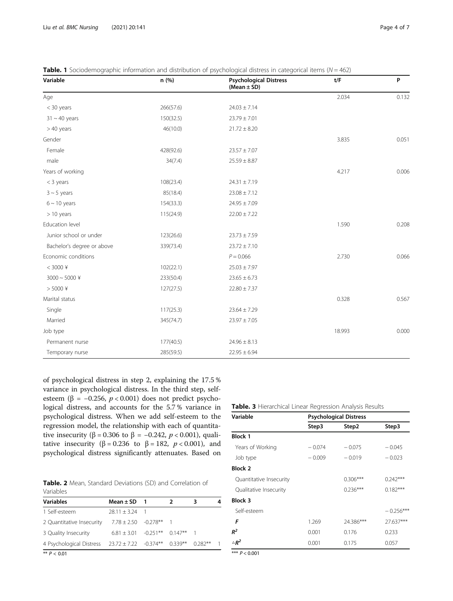| Variable                   | n (%)     | <b>Psychological Distress</b><br>(Mean $\pm$ SD) | t/F    | P     |
|----------------------------|-----------|--------------------------------------------------|--------|-------|
| Age                        |           |                                                  | 2.034  | 0.132 |
| < 30 years                 | 266(57.6) | $24.03 \pm 7.14$                                 |        |       |
| $31 \sim 40$ years         | 150(32.5) | $23.79 \pm 7.01$                                 |        |       |
| $>40$ years                | 46(10.0)  | $21.72 \pm 8.20$                                 |        |       |
| Gender                     |           |                                                  | 3.835  | 0.051 |
| Female                     | 428(92.6) | $23.57 \pm 7.07$                                 |        |       |
| male                       | 34(7.4)   | $25.59 \pm 8.87$                                 |        |       |
| Years of working           |           |                                                  | 4.217  | 0.006 |
| $<$ 3 years                | 108(23.4) | $24.31 \pm 7.19$                                 |        |       |
| $3 \sim 5$ years           | 85(18.4)  | $23.08 \pm 7.12$                                 |        |       |
| $6 \sim 10$ years          | 154(33.3) | $24.95 \pm 7.09$                                 |        |       |
| > 10 years                 | 115(24.9) | $22.00 \pm 7.22$                                 |        |       |
| Education level            |           |                                                  | 1.590  | 0.208 |
| Junior school or under     | 123(26.6) | $23.73 \pm 7.59$                                 |        |       |
| Bachelor's degree or above | 339(73.4) | $23.72 \pm 7.10$                                 |        |       |
| Economic conditions        |           | $P = 0.066$                                      | 2.730  | 0.066 |
| $< 3000$ ¥                 | 102(22.1) | $25.03 \pm 7.97$                                 |        |       |
| $3000 \sim 5000$ ¥         | 233(50.4) | $23.65 \pm 6.73$                                 |        |       |
| $> 5000$ ¥                 | 127(27.5) | $22.80 \pm 7.37$                                 |        |       |
| Marital status             |           |                                                  | 0.328  | 0.567 |
| Single                     | 117(25.3) | $23.64 \pm 7.29$                                 |        |       |
| Married                    | 345(74.7) | $23.97 \pm 7.05$                                 |        |       |
| Job type                   |           |                                                  | 18.993 | 0.000 |
| Permanent nurse            | 177(40.5) | $24.96 \pm 8.13$                                 |        |       |
| Temporary nurse            | 285(59.5) | $22.95 \pm 6.94$                                 |        |       |

<span id="page-3-0"></span>**Table. 1** Sociodemographic information and distribution of psychological distress in categorical items ( $N = 462$ )

of psychological distress in step 2, explaining the 17.5 % variance in psychological distress. In the third step, selfesteem (β = -0.256,  $p < 0.001$ ) does not predict psychological distress, and accounts for the 5.7 % variance in psychological distress. When we add self-esteem to the regression model, the relationship with each of quantitative insecurity (β = 0.306 to β = -0.242,  $p < 0.001$ ), qualitative insecurity ( $\beta = 0.236$  to  $\beta = 182$ ,  $p < 0.001$ ), and psychological distress significantly attenuates. Based on

Table. 2 Mean, Standard Deviations (SD) and Correlation of Variables

| <b>Variables</b>          | Mean $\pm$ SD 1                       |  | 3       | 4 |
|---------------------------|---------------------------------------|--|---------|---|
| 1 Self-esteem             | $28.11 + 3.24$ 1                      |  |         |   |
| 2 Quantitative Insecurity | $7.78 + 2.50 - 0.278**$ 1             |  |         |   |
| 3 Quality Insecurity      | $6.81 \pm 3.01$ $-0.251***$ 0.147** 1 |  |         |   |
| 4 Psychological Distress  | $23.72 \pm 7.22$ $-0.374***$ 0.339**  |  | 0.282** |   |
|                           |                                       |  |         |   |

\*\* P < 0.01

Table. 3 Hierarchical Linear Regression Analysis Results

| Variable                                                             | <b>Psychological Distress</b> |            |             |  |  |
|----------------------------------------------------------------------|-------------------------------|------------|-------------|--|--|
|                                                                      | Step3                         | Step2      | Step3       |  |  |
| <b>Block 1</b>                                                       |                               |            |             |  |  |
| Years of Working                                                     | $-0.074$                      | $-0.075$   | $-0.045$    |  |  |
| Job type                                                             | $-0.009$                      | $-0.019$   | $-0.023$    |  |  |
| <b>Block 2</b>                                                       |                               |            |             |  |  |
| Quantitative Insecurity                                              |                               | $0.306***$ | $0.242***$  |  |  |
| Qualitative Insecurity                                               |                               | $0.236***$ | $0.182***$  |  |  |
| Block 3                                                              |                               |            |             |  |  |
| Self-esteem                                                          |                               |            | $-0.256***$ |  |  |
| F                                                                    | 1.269                         | 24.386***  | 27.637***   |  |  |
| $R^2$                                                                | 0.001                         | 0.176      | 0.233       |  |  |
| $\triangle R^2$                                                      | 0.001                         | 0.175      | 0.057       |  |  |
| $\mathbf{v} \cdot \mathbf{v}$ $\mathbf{v}$ $\mathbf{v}$ $\mathbf{v}$ |                               |            |             |  |  |

 $P < 0.001$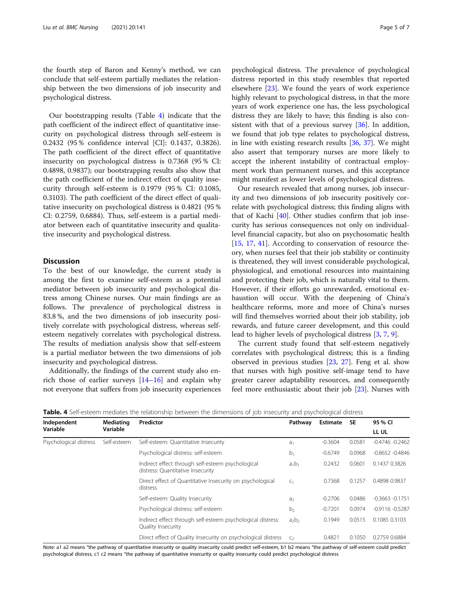the fourth step of Baron and Kenny's method, we can conclude that self-esteem partially mediates the relationship between the two dimensions of job insecurity and psychological distress.

Our bootstrapping results (Table 4) indicate that the path coefficient of the indirect effect of quantitative insecurity on psychological distress through self-esteem is 0.2432 (95 % confidence interval [CI]: 0.1437, 0.3826). The path coefficient of the direct effect of quantitative insecurity on psychological distress is 0.7368 (95 % CI: 0.4898, 0.9837); our bootstrapping results also show that the path coefficient of the indirect effect of quality insecurity through self-esteem is 0.1979 (95 % CI: 0.1085, 0.3103). The path coefficient of the direct effect of qualitative insecurity on psychological distress is 0.4821 (95 % CI: 0.2759, 0.6884). Thus, self-esteem is a partial mediator between each of quantitative insecurity and qualitative insecurity and psychological distress.

#### **Discussion**

To the best of our knowledge, the current study is among the first to examine self-esteem as a potential mediator between job insecurity and psychological distress among Chinese nurses. Our main findings are as follows. The prevalence of psychological distress is 83.8 %, and the two dimensions of job insecurity positively correlate with psychological distress, whereas selfesteem negatively correlates with psychological distress. The results of mediation analysis show that self-esteem is a partial mediator between the two dimensions of job insecurity and psychological distress.

Additionally, the findings of the current study also enrich those of earlier surveys  $[14–16]$  $[14–16]$  $[14–16]$  $[14–16]$  and explain why not everyone that suffers from job insecurity experiences psychological distress. The prevalence of psychological distress reported in this study resembles that reported elsewhere [[23](#page-6-0)]. We found the years of work experience highly relevant to psychological distress, in that the more years of work experience one has, the less psychological distress they are likely to have; this finding is also con-sistent with that of a previous survey [[36](#page-6-0)]. In addition, we found that job type relates to psychological distress, in line with existing research results [\[36](#page-6-0), [37\]](#page-6-0). We might also assert that temporary nurses are more likely to accept the inherent instability of contractual employment work than permanent nurses, and this acceptance might manifest as lower levels of psychological distress.

Our research revealed that among nurses, job insecurity and two dimensions of job insecurity positively correlate with psychological distress; this finding aligns with that of Kachi [[40\]](#page-6-0). Other studies confirm that job insecurity has serious consequences not only on individuallevel financial capacity, but also on psychosomatic health [[15,](#page-6-0) [17](#page-6-0), [41](#page-6-0)]. According to conservation of resource theory, when nurses feel that their job stability or continuity is threatened, they will invest considerable psychological, physiological, and emotional resources into maintaining and protecting their job, which is naturally vital to them. However, if their efforts go unrewarded, emotional exhaustion will occur. With the deepening of China's healthcare reforms, more and more of China's nurses will find themselves worried about their job stability, job rewards, and future career development, and this could lead to higher levels of psychological distress [\[3](#page-6-0), [7](#page-6-0), [9](#page-6-0)].

The current study found that self-esteem negatively correlates with psychological distress; this is a finding observed in previous studies [\[23](#page-6-0), [27](#page-6-0)]. Feng et al. show that nurses with high positive self-image tend to have greater career adaptability resources, and consequently feel more enthusiastic about their job [[23](#page-6-0)]. Nurses with

| Independent            | Mediating<br>Variable | Predictor                                                                              | Pathway        | <b>Estimate</b> | <b>SE</b> | 95 % CI            |
|------------------------|-----------------------|----------------------------------------------------------------------------------------|----------------|-----------------|-----------|--------------------|
| Variable               |                       |                                                                                        |                |                 |           | LL UL              |
| Psychological distress | Self-esteem           | Self-esteem: Quantitative Insecurity                                                   | a.             | $-0.3604$       | 0.0581    | $-0.4746 - 0.2462$ |
|                        |                       | Psychological distress: self-esteem                                                    | $b_1$          | $-0.6749$       | 0.0968    | $-0.8652 - 0.4846$ |
|                        |                       | Indirect effect through self-esteem psychological<br>distress: Quantitative Insecurity | $a_1b_1$       | 0.2432          | 0.0601    | 0.1437 0.3826      |
|                        |                       | Direct effect of Quantitative Insecurity on psychological<br>distress                  | C <sub>1</sub> | 0.7368          | 0.1257    | 0.4898 0.9837      |
|                        |                       | Self-esteem: Quality Insecurity                                                        | a <sub>2</sub> | $-0.2706$       | 0.0486    | $-0.3663 -0.1751$  |
|                        |                       | Psychological distress: self-esteem                                                    | b <sub>2</sub> | $-0.7201$       | 0.0974    | $-0.9116 - 0.5287$ |
|                        |                       | Indirect effect through self-esteem psychological distress:<br>Quality Insecurity      | $a_2b_2$       | 0.1949          | 0.0515    | 0.1085 0.3103      |
|                        |                       | Direct effect of Quality Insecurity on psychological distress                          | C <sub>2</sub> | 0.4821          | 0.1050    | 0.2759 0.6884      |

**Table. 4** Self-esteem mediates the relationship between the dimensions of job insecurity and psychological distress

Note: a1 a2 means "the pathway of quantitative insecurity or quality insecurity could predict self-esteem, b1 b2 means "the pathway of self-esteem could predict psychological distress, c1 c2 means "the pathway of quantitative insecurity or quality insecurity could predict psychological distress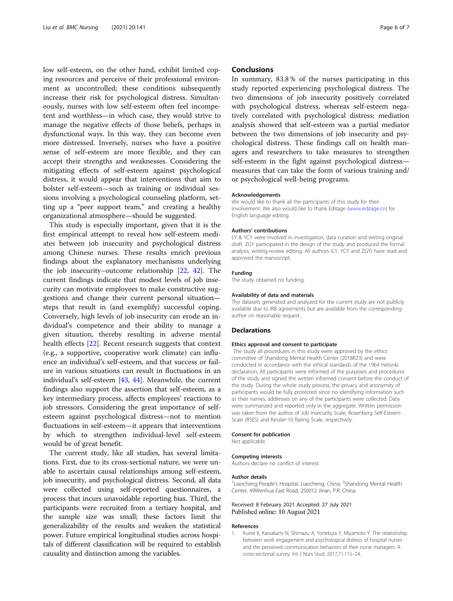<span id="page-5-0"></span>low self-esteem, on the other hand, exhibit limited coping resources and perceive of their professional environment as uncontrolled; these conditions subsequently increase their risk for psychological distress. Simultaneously, nurses with low self-esteem often feel incompetent and worthless—in which case, they would strive to manage the negative effects of those beliefs, perhaps in dysfunctional ways. In this way, they can become even more distressed. Inversely, nurses who have a positive sense of self-esteem are more flexible, and they can accept their strengths and weaknesses. Considering the mitigating effects of self-esteem against psychological distress, it would appear that interventions that aim to bolster self-esteem—such as training or individual sessions involving a psychological counseling platform, setting up a "peer support team," and creating a healthy organizational atmosphere—should be suggested.

This study is especially important, given that it is the first empirical attempt to reveal how self-esteem mediates between job insecurity and psychological distress among Chinese nurses. These results enrich previous findings about the explanatory mechanisms underlying the job insecurity–outcome relationship [\[22](#page-6-0), [42\]](#page-6-0). The current findings indicate that modest levels of job insecurity can motivate employees to make constructive suggestions and change their current personal situation steps that result in (and exemplify) successful coping. Conversely, high levels of job insecurity can erode an individual's competence and their ability to manage a given situation, thereby resulting in adverse mental health effects [\[22](#page-6-0)]. Recent research suggests that context (e.g., a supportive, cooperative work climate) can influence an individual's self-esteem, and that success or failure in various situations can result in fluctuations in an individual's self-esteem [[43,](#page-6-0) [44](#page-6-0)]. Meanwhile, the current findings also support the assertion that self-esteem, as a key intermediary process, affects employees' reactions to job stressors. Considering the great importance of selfesteem against psychological distress—not to mention fluctuations in self-esteem—it appears that interventions by which to strengthen individual-level self-esteem would be of great benefit.

The current study, like all studies, has several limitations. First, due to its cross-sectional nature, we were unable to ascertain causal relationships among self-esteem, job insecurity, and psychological distress. Second, all data were collected using self-reported questionnaires, a process that incurs unavoidable reporting bias. Third, the participants were recruited from a tertiary hospital, and the sample size was small; these factors limit the generalizability of the results and weaken the statistical power. Future empirical longitudinal studies across hospitals of different classification will be required to establish causality and distinction among the variables.

#### **Conclusions**

In summary, 83.8 % of the nurses participating in this study reported experiencing psychological distress. The two dimensions of job insecurity positively correlated with psychological distress, whereas self-esteem negatively correlated with psychological distress; mediation analysis showed that self-esteem was a partial mediator between the two dimensions of job insecurity and psychological distress. These findings call on health managers and researchers to take measures to strengthen self-esteem in the fight against psychological distress measures that can take the form of various training and/ or psychological well-being programs.

#### Acknowledgements

We would like to thank all the participants of this study for their involvement. We also would like to thank Editage ([www.editage.cn](http://www.editage.cn)) for English language editing.

#### Authors' contributions

LY & YCY were involved in investigation, data curation and writing original draft. ZGY participated in the design of the study and produced the formal analysis, writing-review editing. All authors (LY, YCY and ZGY) have read and approved the manuscript.

#### Funding

The study obtained no funding.

#### Availability of data and materials

The datasets generated and analyzed for the current study are not publicly available due to IRB agreements but are available from the corresponding author on reasonable request.

#### Declarations

#### Ethics approval and consent to participate

The study all procedures in this study were approved by the ethics committee of Shandong Mental Health Center (2018R23) and were conducted in accordance with the ethical standards of the 1964 Helsinki declaration. All participants were informed of the purposes and procedures of the study and signed the written informed consent before the conduct of the study. During the whole study process, the privacy and anonymity of participants would be fully protected since no identifying information such as their names, addresses on any of the participants were collected. Data were summarized and reported only in the aggregate. Written permission was taken from the author of Job Insecurity Scale, Rosenberg Self-Esteem Scale (RSES) and Kessler-10 Rating Scale, respectively.

#### Consent for publication

Not applicable.

#### Competing interests

Authors declare no conflict of interest.

#### Author details

<sup>1</sup> Liaocheng People's Hospital, Liaocheng, China. <sup>2</sup> Shandong Mental Health Center, 49Wenhua East Road, 250012 Jinan, P.R. China.

#### Received: 8 February 2021 Accepted: 27 July 2021 Published online: 10 August 2021

#### References

1. Kunie K, Kawakami N, Shimazu A, Yonekura Y, Miyamoto Y. The relationship between work engagement and psychological distress of hospital nurses and the perceived communication behaviors of their nurse managers: A cross-sectional survey. Int J Nurs Stud. 2017;71:115–24.